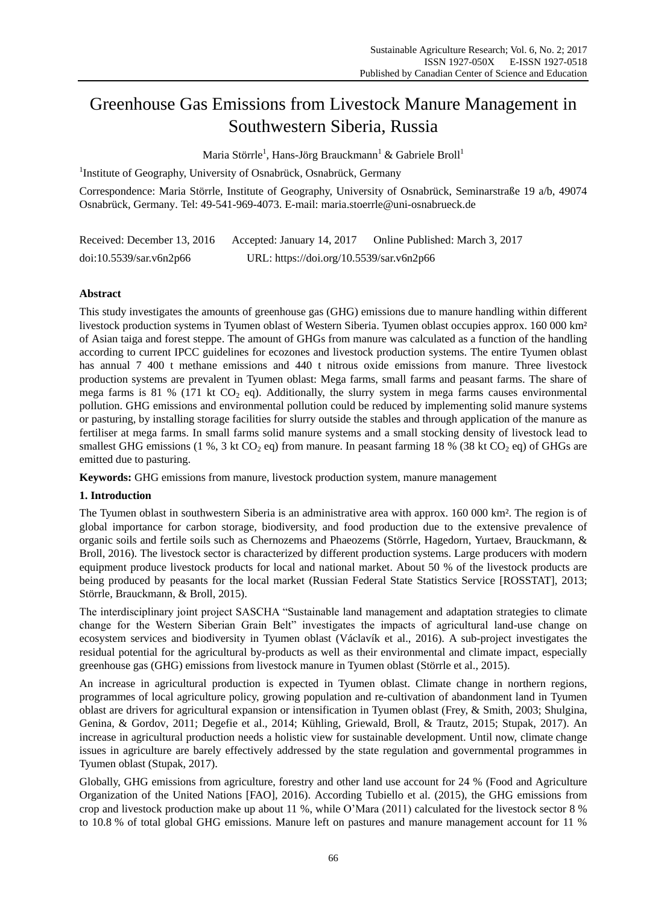# Greenhouse Gas Emissions from Livestock Manure Management in Southwestern Siberia, Russia

Maria Störrle $^{\rm l}$ , Hans-Jörg Brauckmann $^{\rm l}$  & Gabriele Broll $^{\rm l}$ 

<sup>1</sup>Institute of Geography, University of Osnabrück, Osnabrück, Germany

Correspondence: Maria Störrle, Institute of Geography, University of Osnabrück, Seminarstraße 19 a/b, 49074 Osnabrück, Germany. Tel: 49-541-969-4073. E-mail: maria.stoerrle@uni-osnabrueck.de

| Received: December 13, 2016 | Accepted: January 14, 2017               | Online Published: March 3, 2017 |
|-----------------------------|------------------------------------------|---------------------------------|
| doi:10.5539/sar.v6n2p66     | URL: https://doi.org/10.5539/sar.v6n2p66 |                                 |

# **Abstract**

This study investigates the amounts of greenhouse gas (GHG) emissions due to manure handling within different livestock production systems in Tyumen oblast of Western Siberia. Tyumen oblast occupies approx. 160 000 km<sup>2</sup> of Asian taiga and forest steppe. The amount of GHGs from manure was calculated as a function of the handling according to current IPCC guidelines for ecozones and livestock production systems. The entire Tyumen oblast has annual 7 400 t methane emissions and 440 t nitrous oxide emissions from manure. Three livestock production systems are prevalent in Tyumen oblast: Mega farms, small farms and peasant farms. The share of mega farms is 81 % (171 kt  $CO<sub>2</sub>$  eq). Additionally, the slurry system in mega farms causes environmental pollution. GHG emissions and environmental pollution could be reduced by implementing solid manure systems or pasturing, by installing storage facilities for slurry outside the stables and through application of the manure as fertiliser at mega farms. In small farms solid manure systems and a small stocking density of livestock lead to smallest GHG emissions (1 %, 3 kt CO<sub>2</sub> eq) from manure. In peasant farming 18 % (38 kt CO<sub>2</sub> eq) of GHGs are emitted due to pasturing.

**Keywords:** GHG emissions from manure, livestock production system, manure management

# **1. Introduction**

The Tyumen oblast in southwestern Siberia is an administrative area with approx. 160 000 km ? The region is of global importance for carbon storage, biodiversity, and food production due to the extensive prevalence of organic soils and fertile soils such as Chernozems and Phaeozems (Störrle, Hagedorn, Yurtaev, Brauckmann, & Broll, 2016). The livestock sector is characterized by different production systems. Large producers with modern equipment produce livestock products for local and national market. About 50 % of the livestock products are being produced by peasants for the local market (Russian Federal State Statistics Service [ROSSTAT], 2013; Störrle, Brauckmann, & Broll, 2015).

The interdisciplinary joint project SASCHA "Sustainable land management and adaptation strategies to climate change for the Western Siberian Grain Belt" investigates the impacts of agricultural land-use change on ecosystem services and biodiversity in Tyumen oblast (V  $\&$  law  $\&$  et al., 2016). A sub-project investigates the residual potential for the agricultural by-products as well as their environmental and climate impact, especially greenhouse gas (GHG) emissions from livestock manure in Tyumen oblast (Störrle et al., 2015).

An increase in agricultural production is expected in Tyumen oblast. Climate change in northern regions, programmes of local agriculture policy, growing population and re-cultivation of abandonment land in Tyumen oblast are drivers for agricultural expansion or intensification in Tyumen oblast (Frey, & Smith, 2003; Shulgina, Genina, & Gordov, 2011; Degefie et al., 2014; Kühling, Griewald, Broll, & Trautz, 2015; Stupak, 2017). An increase in agricultural production needs a holistic view for sustainable development. Until now, climate change issues in agriculture are barely effectively addressed by the state regulation and governmental programmes in Tyumen oblast (Stupak, 2017).

Globally, GHG emissions from agriculture, forestry and other land use account for 24 % (Food and Agriculture Organization of the United Nations [FAO], 2016). According Tubiello et al. (2015), the GHG emissions from crop and livestock production make up about 11 %, while O"Mara (2011) calculated for the livestock sector 8 % to 10.8 % of total global GHG emissions. Manure left on pastures and manure management account for 11 %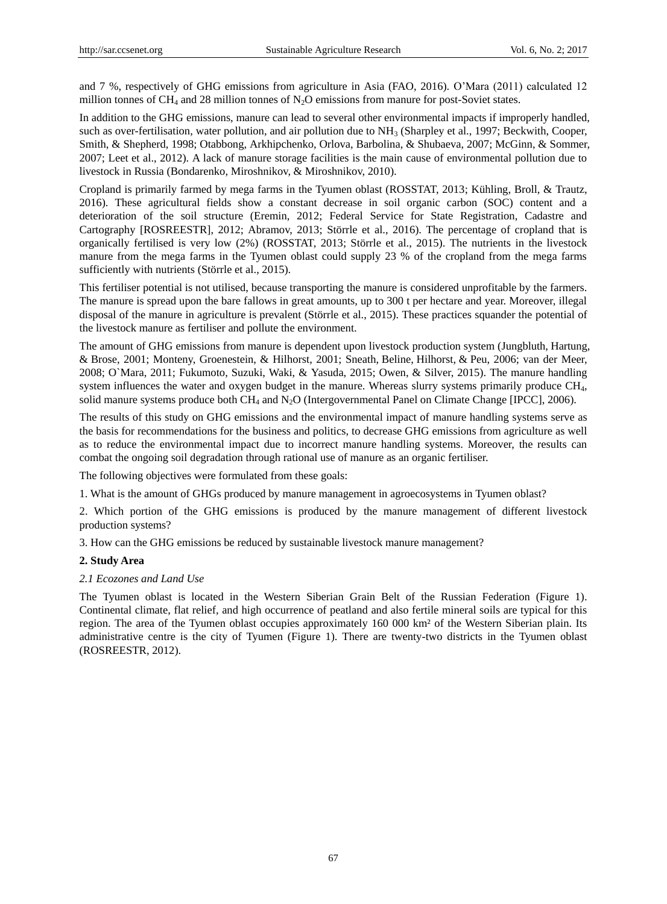and 7 %, respectively of GHG emissions from agriculture in Asia (FAO, 2016). O"Mara (2011) calculated 12 million tonnes of CH<sub>4</sub> and 28 million tonnes of N<sub>2</sub>O emissions from manure for post-Soviet states.

In addition to the GHG emissions, manure can lead to several other environmental impacts if improperly handled, such as over-fertilisation, water pollution, and air pollution due to NH<sub>3</sub> (Sharpley et al., 1997; Beckwith, Cooper, Smith, & Shepherd, 1998; Otabbong, Arkhipchenko, Orlova, Barbolina, & Shubaeva, 2007; McGinn, & Sommer, 2007; Leet et al., 2012). A lack of manure storage facilities is the main cause of environmental pollution due to livestock in Russia (Bondarenko, Miroshnikov, & Miroshnikov, 2010).

Cropland is primarily farmed by mega farms in the Tyumen oblast (ROSSTAT, 2013; Kühling, Broll, & Trautz, 2016). These agricultural fields show a constant decrease in soil organic carbon (SOC) content and a deterioration of the soil structure (Eremin, 2012; Federal Service for State Registration, Cadastre and Cartography [ROSREESTR], 2012; Abramov, 2013; Störrle et al., 2016). The percentage of cropland that is organically fertilised is very low (2%) (ROSSTAT, 2013; Störrle et al., 2015). The nutrients in the livestock manure from the mega farms in the Tyumen oblast could supply 23 % of the cropland from the mega farms sufficiently with nutrients (Störrle et al., 2015).

This fertiliser potential is not utilised, because transporting the manure is considered unprofitable by the farmers. The manure is spread upon the bare fallows in great amounts, up to 300 t per hectare and year. Moreover, illegal disposal of the manure in agriculture is prevalent (Störrle et al., 2015). These practices squander the potential of the livestock manure as fertiliser and pollute the environment.

The amount of GHG emissions from manure is dependent upon livestock production system (Jungbluth, Hartung, & Brose, 2001; Monteny, Groenestein, & Hilhorst, 2001; Sneath, Beline, Hilhorst, & Peu, 2006; van der Meer, 2008; O`Mara, 2011; Fukumoto, Suzuki, Waki, & Yasuda, 2015; Owen, & Silver, 2015). The manure handling system influences the water and oxygen budget in the manure. Whereas slurry systems primarily produce CH4, solid manure systems produce both CH<sub>4</sub> and N<sub>2</sub>O (Intergovernmental Panel on Climate Change [IPCC], 2006).

The results of this study on GHG emissions and the environmental impact of manure handling systems serve as the basis for recommendations for the business and politics, to decrease GHG emissions from agriculture as well as to reduce the environmental impact due to incorrect manure handling systems. Moreover, the results can combat the ongoing soil degradation through rational use of manure as an organic fertiliser.

The following objectives were formulated from these goals:

1. What is the amount of GHGs produced by manure management in agroecosystems in Tyumen oblast?

2. Which portion of the GHG emissions is produced by the manure management of different livestock production systems?

3. How can the GHG emissions be reduced by sustainable livestock manure management?

# **2. Study Area**

### *2.1 Ecozones and Land Use*

The Tyumen oblast is located in the Western Siberian Grain Belt of the Russian Federation (Figure 1). Continental climate, flat relief, and high occurrence of peatland and also fertile mineral soils are typical for this region. The area of the Tyumen oblast occupies approximately 160 000 km<sup>2</sup> of the Western Siberian plain. Its administrative centre is the city of Tyumen (Figure 1). There are twenty-two districts in the Tyumen oblast (ROSREESTR, 2012).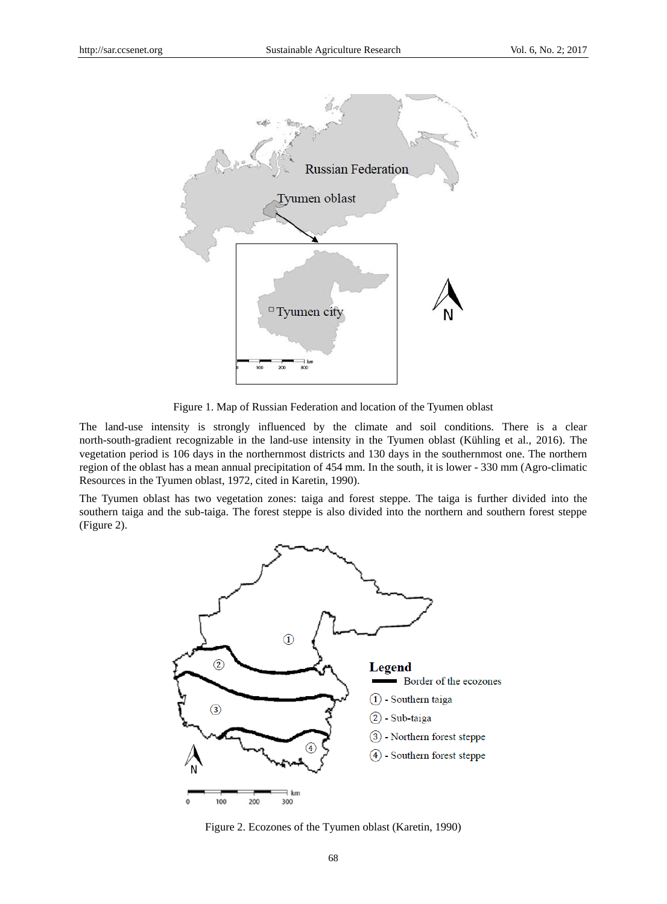

Figure 1. Map of Russian Federation and location of the Tyumen oblast

The land-use intensity is strongly influenced by the climate and soil conditions. There is a clear north-south-gradient recognizable in the land-use intensity in the Tyumen oblast (Kühling et al., 2016). The vegetation period is 106 days in the northernmost districts and 130 days in the southernmost one. The northern region of the oblast has a mean annual precipitation of 454 mm. In the south, it is lower - 330 mm (Agro-climatic Resources in the Tyumen oblast, 1972, cited in Karetin, 1990).

The Tyumen oblast has two vegetation zones: taiga and forest steppe. The taiga is further divided into the southern taiga and the sub-taiga. The forest steppe is also divided into the northern and southern forest steppe (Figure 2).



Figure 2. Ecozones of the Tyumen oblast (Karetin, 1990)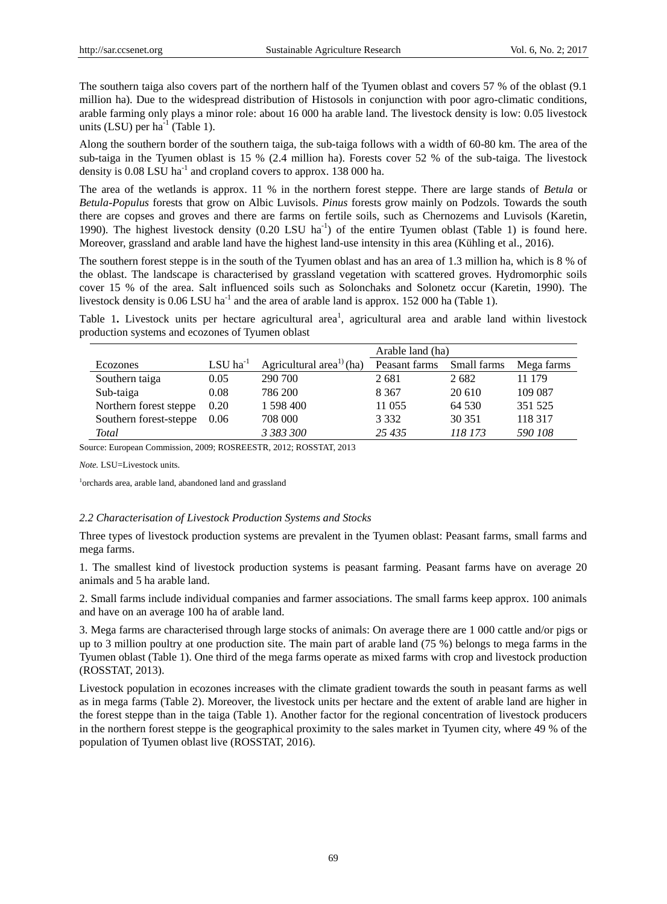The southern taiga also covers part of the northern half of the Tyumen oblast and covers 57 % of the oblast (9.1 million ha). Due to the widespread distribution of Histosols in conjunction with poor agro-climatic conditions, arable farming only plays a minor role: about 16 000 ha arable land. The livestock density is low: 0.05 livestock units (LSU) per  $ha^{-1}$  (Table 1).

Along the southern border of the southern taiga, the sub-taiga follows with a width of 60-80 km. The area of the sub-taiga in the Tyumen oblast is 15 % (2.4 million ha). Forests cover 52 % of the sub-taiga. The livestock density is  $0.08$  LSU ha<sup>-1</sup> and cropland covers to approx. 138 000 ha.

The area of the wetlands is approx. 11 % in the northern forest steppe. There are large stands of *Betula* or *Betula-Populus* forests that grow on Albic Luvisols. *Pinus* forests grow mainly on Podzols. Towards the south there are copses and groves and there are farms on fertile soils, such as Chernozems and Luvisols (Karetin, 1990). The highest livestock density  $(0.20 \text{ LSU ha}^{-1})$  of the entire Tyumen oblast (Table 1) is found here. Moreover, grassland and arable land have the highest land-use intensity in this area (Kühling et al., 2016).

The southern forest steppe is in the south of the Tyumen oblast and has an area of 1.3 million ha, which is 8 % of the oblast. The landscape is characterised by grassland vegetation with scattered groves. Hydromorphic soils cover 15 % of the area. Salt influenced soils such as Solonchaks and Solonetz occur (Karetin, 1990). The livestock density is  $0.06$  LSU ha<sup>-1</sup> and the area of arable land is approx. 152 000 ha (Table 1).

Table 1. Livestock units per hectare agricultural area<sup>1</sup>, agricultural area and arable land within livestock production systems and ecozones of Tyumen oblast

|                        |                        | Arable land (ha)                      |               |             |            |
|------------------------|------------------------|---------------------------------------|---------------|-------------|------------|
| Ecozones               | $LSU$ ha <sup>-1</sup> | Agricultural area <sup>1</sup> $(ha)$ | Peasant farms | Small farms | Mega farms |
| Southern taiga         | 0.05                   | 290 700                               | 2681          | 2682        | 11 179     |
| Sub-taiga              | 0.08                   | 786 200                               | 8 3 6 7       | 20 610      | 109 087    |
| Northern forest steppe | 0.20                   | 1 598 400                             | 11 055        | 64 530      | 351 525    |
| Southern forest-steppe | 0.06                   | 708 000                               | 3 3 3 2       | 30 351      | 118 317    |
| <b>Total</b>           |                        | 3 383 300                             | 25435         | 118 173     | 590 108    |

Source: European Commission, 2009; ROSREESTR, 2012; ROSSTAT, 2013

*Note* LSU=Livestock units.

1 orchards area, arable land, abandoned land and grassland

# *2.2 Characterisation of Livestock Production Systems and Stocks*

Three types of livestock production systems are prevalent in the Tyumen oblast: Peasant farms, small farms and mega farms.

1. The smallest kind of livestock production systems is peasant farming. Peasant farms have on average 20 animals and 5 ha arable land.

2. Small farms include individual companies and farmer associations. The small farms keep approx. 100 animals and have on an average 100 ha of arable land.

3. Mega farms are characterised through large stocks of animals: On average there are 1 000 cattle and/or pigs or up to 3 million poultry at one production site. The main part of arable land (75 %) belongs to mega farms in the Tyumen oblast (Table 1). One third of the mega farms operate as mixed farms with crop and livestock production (ROSSTAT, 2013).

Livestock population in ecozones increases with the climate gradient towards the south in peasant farms as well as in mega farms (Table 2). Moreover, the livestock units per hectare and the extent of arable land are higher in the forest steppe than in the taiga (Table 1). Another factor for the regional concentration of livestock producers in the northern forest steppe is the geographical proximity to the sales market in Tyumen city, where 49 % of the population of Tyumen oblast live (ROSSTAT, 2016).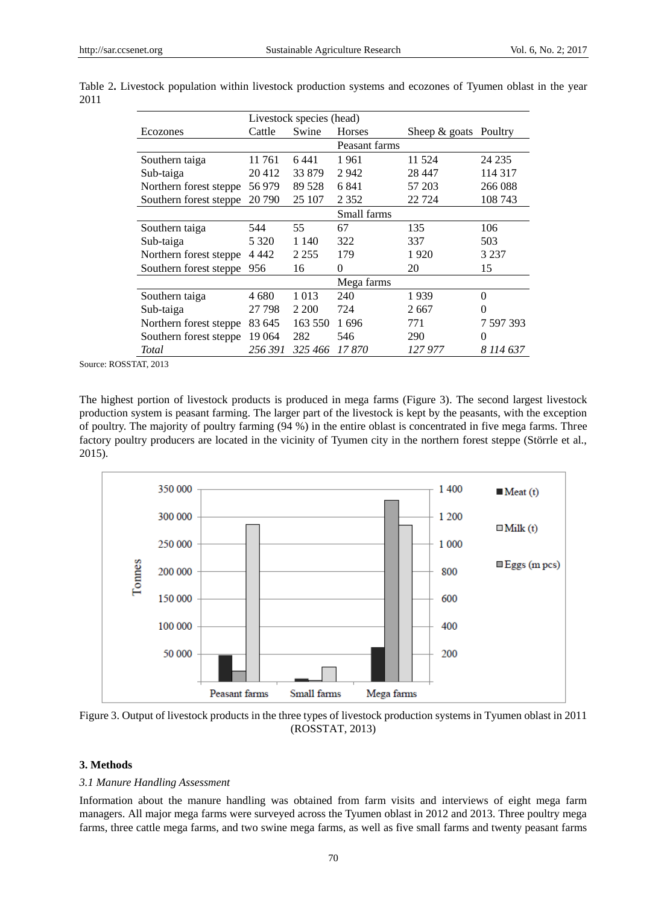|                         | Livestock species (head) |         |               |                       |           |
|-------------------------|--------------------------|---------|---------------|-----------------------|-----------|
| Ecozones                | Cattle                   | Swine   | <b>Horses</b> | Sheep & goats Poultry |           |
|                         |                          |         | Peasant farms |                       |           |
| Southern taiga          | 11 761                   | 6441    | 1961          | 11 524                | 24 2 35   |
| Sub-taiga               | 20412                    | 33 879  | 2942          | 28 447                | 114 317   |
| Northern forest steppe. | 56979                    | 89 528  | 6 841         | 57 203                | 266 088   |
| Southern forest steppe. | 20 790                   | 25 107  | 2 3 5 2       | 22 7 24               | 108 743   |
|                         |                          |         | Small farms   |                       |           |
| Southern taiga          | 544                      | 55      | 67            | 135                   | 106       |
| Sub-taiga               | 5 3 2 0                  | 1 1 4 0 | 322           | 337                   | 503       |
| Northern forest steppe. | 4 4 4 2                  | 2 2 5 5 | 179           | 1920                  | 3 2 3 7   |
| Southern forest steppe. | 956                      | 16      | 0             | 20                    | 15        |
|                         |                          |         | Mega farms    |                       |           |
| Southern taiga          | 4 680                    | 1 0 1 3 | 240           | 1939                  | $\Omega$  |
| Sub-taiga               | 27 798                   | 2 200   | 724           | 2667                  | 0         |
| Northern forest steppe. | 83 645                   | 163 550 | 1696          | 771                   | 7 597 393 |
| Southern forest steppe  | 19 064                   | 282     | 546           | 290                   | 0         |
| Total                   | 256 391                  | 325 466 | 17 870        | 127 977               | 8 114 637 |

Table 2**.** Livestock population within livestock production systems and ecozones of Tyumen oblast in the year 2011

Source: ROSSTAT, 2013

The highest portion of livestock products is produced in mega farms (Figure 3). The second largest livestock production system is peasant farming. The larger part of the livestock is kept by the peasants, with the exception of poultry. The majority of poultry farming (94 %) in the entire oblast is concentrated in five mega farms. Three factory poultry producers are located in the vicinity of Tyumen city in the northern forest steppe (Störrle et al., 2015).



Figure 3. Output of livestock products in the three types of livestock production systems in Tyumen oblast in 2011 (ROSSTAT, 2013)

# **3. Methods**

#### *3.1 Manure Handling Assessment*

Information about the manure handling was obtained from farm visits and interviews of eight mega farm managers. All major mega farms were surveyed across the Tyumen oblast in 2012 and 2013. Three poultry mega farms, three cattle mega farms, and two swine mega farms, as well as five small farms and twenty peasant farms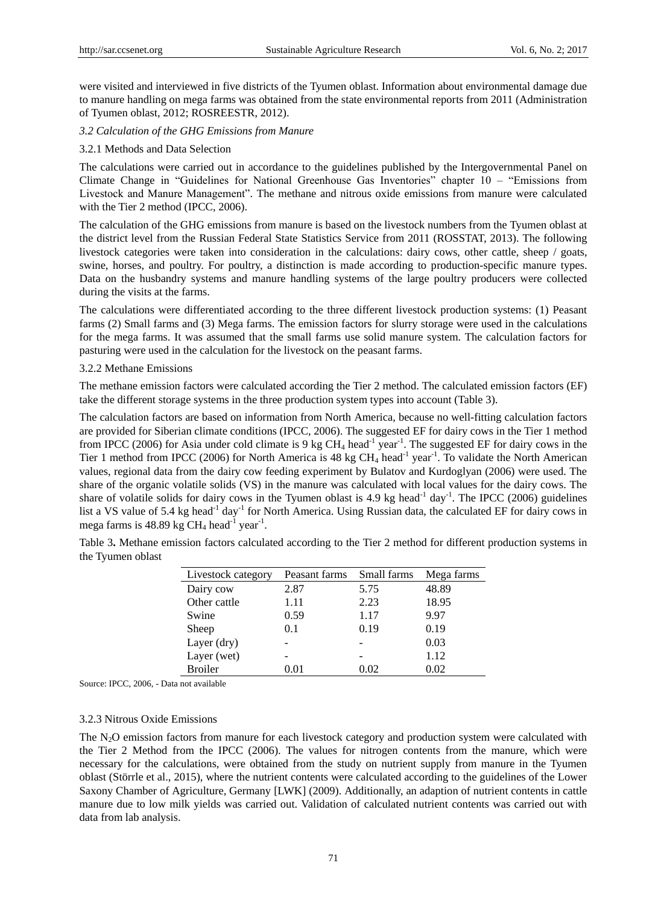were visited and interviewed in five districts of the Tyumen oblast. Information about environmental damage due to manure handling on mega farms was obtained from the state environmental reports from 2011 (Administration of Tyumen oblast, 2012; ROSREESTR, 2012).

# *3.2 Calculation of the GHG Emissions from Manure*

# 3.2.1 Methods and Data Selection

The calculations were carried out in accordance to the guidelines published by the Intergovernmental Panel on Climate Change in "Guidelines for National Greenhouse Gas Inventories" chapter 10 – "Emissions from Livestock and Manure Management". The methane and nitrous oxide emissions from manure were calculated with the Tier 2 method (IPCC, 2006).

The calculation of the GHG emissions from manure is based on the livestock numbers from the Tyumen oblast at the district level from the Russian Federal State Statistics Service from 2011 (ROSSTAT, 2013). The following livestock categories were taken into consideration in the calculations: dairy cows, other cattle, sheep / goats, swine, horses, and poultry. For poultry, a distinction is made according to production-specific manure types. Data on the husbandry systems and manure handling systems of the large poultry producers were collected during the visits at the farms.

The calculations were differentiated according to the three different livestock production systems: (1) Peasant farms (2) Small farms and (3) Mega farms. The emission factors for slurry storage were used in the calculations for the mega farms. It was assumed that the small farms use solid manure system. The calculation factors for pasturing were used in the calculation for the livestock on the peasant farms.

## 3.2.2 Methane Emissions

The methane emission factors were calculated according the Tier 2 method. The calculated emission factors (EF) take the different storage systems in the three production system types into account (Table 3).

The calculation factors are based on information from North America, because no well-fitting calculation factors are provided for Siberian climate conditions (IPCC, 2006). The suggested EF for dairy cows in the Tier 1 method from IPCC (2006) for Asia under cold climate is  $9 \text{ kg } CH_4$  head<sup>-1</sup> year<sup>-1</sup>. The suggested EF for dairy cows in the Tier 1 method from IPCC (2006) for North America is 48 kg  $CH_4$  head<sup>-1</sup> year<sup>-1</sup>. To validate the North American values, regional data from the dairy cow feeding experiment by Bulatov and Kurdoglyan (2006) were used. The share of the organic volatile solids (VS) in the manure was calculated with local values for the dairy cows. The share of volatile solids for dairy cows in the Tyumen oblast is  $4.9 \text{ kg head}^{-1}$  day<sup>-1</sup>. The IPCC (2006) guidelines list a VS value of 5.4 kg head<sup>-1</sup> day<sup>-1</sup> for North America. Using Russian data, the calculated EF for dairy cows in mega farms is  $48.89 \text{ kg } CH_4 \text{ head}^{-1} \text{ year}^{-1}$ .

Table 3**.** Methane emission factors calculated according to the Tier 2 method for different production systems in the Tyumen oblast

| Livestock category | Peasant farms | Small farms | Mega farms |
|--------------------|---------------|-------------|------------|
| Dairy cow          | 2.87          | 5.75        | 48.89      |
| Other cattle       | 1.11          | 2.23        | 18.95      |
| Swine              | 0.59          | 1.17        | 9.97       |
| Sheep              | 0.1           | 0.19        | 0.19       |
| Layer (dry)        |               |             | 0.03       |
| Layer (wet)        |               |             | 1.12       |
| <b>Broiler</b>     | 0.01          | 0.02        | 0.02       |

Source: IPCC, 2006, - Data not available

# 3.2.3 Nitrous Oxide Emissions

The N<sub>2</sub>O emission factors from manure for each livestock category and production system were calculated with the Tier 2 Method from the IPCC (2006). The values for nitrogen contents from the manure, which were necessary for the calculations, were obtained from the study on nutrient supply from manure in the Tyumen oblast (Störrle et al., 2015), where the nutrient contents were calculated according to the guidelines of the Lower Saxony Chamber of Agriculture, Germany [LWK] (2009). Additionally, an adaption of nutrient contents in cattle manure due to low milk yields was carried out. Validation of calculated nutrient contents was carried out with data from lab analysis.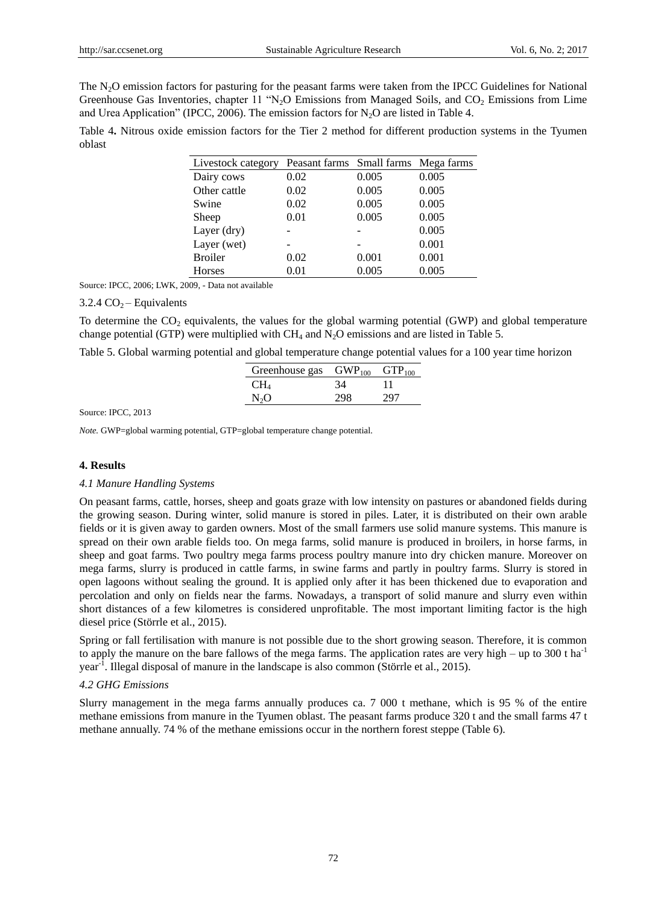The N<sub>2</sub>O emission factors for pasturing for the peasant farms were taken from the IPCC Guidelines for National Greenhouse Gas Inventories, chapter 11 "N<sub>2</sub>O Emissions from Managed Soils, and CO<sub>2</sub> Emissions from Lime and Urea Application" (IPCC, 2006). The emission factors for  $N_2O$  are listed in Table 4.

Table 4**.** Nitrous oxide emission factors for the Tier 2 method for different production systems in the Tyumen oblast

| Livestock category | Peasant farms Small farms Mega farms |       |       |
|--------------------|--------------------------------------|-------|-------|
| Dairy cows         | 0.02                                 | 0.005 | 0.005 |
| Other cattle       | 0.02                                 | 0.005 | 0.005 |
| Swine              | 0.02                                 | 0.005 | 0.005 |
| Sheep              | 0.01                                 | 0.005 | 0.005 |
| Layer (dry)        |                                      |       | 0.005 |
| Layer (wet)        |                                      |       | 0.001 |
| <b>Broiler</b>     | 0.02                                 | 0.001 | 0.001 |
| Horses             | 0.01                                 | 0.005 | 0.005 |

Source: IPCC, 2006; LWK, 2009, - Data not available

## $3.2.4 \text{ CO}_2$  – Equivalents

To determine the  $CO<sub>2</sub>$  equivalents, the values for the global warming potential (GWP) and global temperature change potential (GTP) were multiplied with  $CH_4$  and  $N_2O$  emissions and are listed in Table 5.

Table 5. Global warming potential and global temperature change potential values for a 100 year time horizon

| Greenhouse gas $GWP_{100}$ |     | $GTP_{100}$ |
|----------------------------|-----|-------------|
| CH <sub>4</sub>            | 34  |             |
| N,O                        | 298 | 297         |

Source: IPCC, 2013

*Note.* GWP=global warming potential, GTP=global temperature change potential.

#### **4. Results**

#### *4.1 Manure Handling Systems*

On peasant farms, cattle, horses, sheep and goats graze with low intensity on pastures or abandoned fields during the growing season. During winter, solid manure is stored in piles. Later, it is distributed on their own arable fields or it is given away to garden owners. Most of the small farmers use solid manure systems. This manure is spread on their own arable fields too. On mega farms, solid manure is produced in broilers, in horse farms, in sheep and goat farms. Two poultry mega farms process poultry manure into dry chicken manure. Moreover on mega farms, slurry is produced in cattle farms, in swine farms and partly in poultry farms. Slurry is stored in open lagoons without sealing the ground. It is applied only after it has been thickened due to evaporation and percolation and only on fields near the farms. Nowadays, a transport of solid manure and slurry even within short distances of a few kilometres is considered unprofitable. The most important limiting factor is the high diesel price (Störrle et al., 2015).

Spring or fall fertilisation with manure is not possible due to the short growing season. Therefore, it is common to apply the manure on the bare fallows of the mega farms. The application rates are very high – up to  $300$  t ha<sup>-1</sup> year<sup>-1</sup>. Illegal disposal of manure in the landscape is also common (Stärrle et al., 2015).

## *4.2 GHG Emissions*

Slurry management in the mega farms annually produces ca. 7 000 t methane, which is 95 % of the entire methane emissions from manure in the Tyumen oblast. The peasant farms produce 320 t and the small farms 47 t methane annually. 74 % of the methane emissions occur in the northern forest steppe (Table 6).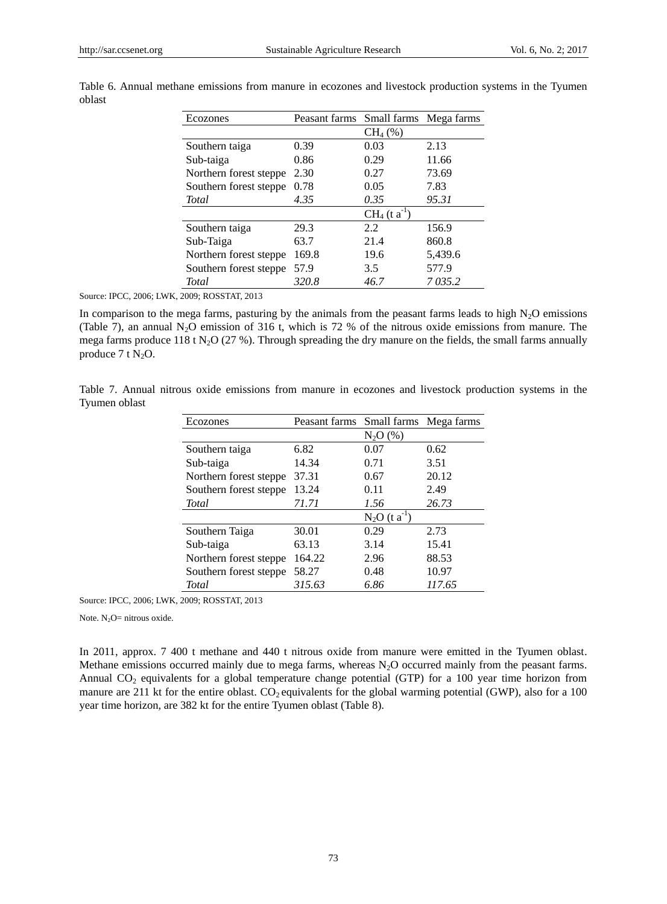| Ecozones               | Peasant farms | Small farms               | Mega farms |
|------------------------|---------------|---------------------------|------------|
|                        |               | $CH_4(\%)$                |            |
| Southern taiga         | 0.39          | 0.03                      | 2.13       |
| Sub-taiga              | 0.86          | 0.29                      | 11.66      |
| Northern forest steppe | 2.30          | 0.27                      | 73.69      |
| Southern forest steppe | 0.78          | 0.05                      | 7.83       |
| Total                  | 4.35          | 0.35                      | 95.31      |
|                        |               | $CH_4$ (t a <sup>-1</sup> |            |
| Southern taiga         | 29.3          | 2.2                       | 156.9      |
| Sub-Taiga              | 63.7          | 21.4                      | 860.8      |
| Northern forest steppe | 169.8         | 19.6                      | 5,439.6    |
| Southern forest steppe | 57.9          | 3.5                       | 577.9      |
| <b>Total</b>           | 320.8         | 46.7                      | 7 035.2    |

Table 6. Annual methane emissions from manure in ecozones and livestock production systems in the Tyumen oblast

Source: IPCC, 2006; LWK, 2009; ROSSTAT, 2013

In comparison to the mega farms, pasturing by the animals from the peasant farms leads to high  $N<sub>2</sub>O$  emissions (Table 7), an annual N<sub>2</sub>O emission of 316 t, which is 72 % of the nitrous oxide emissions from manure. The mega farms produce 118 t N<sub>2</sub>O (27 %). Through spreading the dry manure on the fields, the small farms annually produce  $7$  t  $N_2O$ .

Table 7. Annual nitrous oxide emissions from manure in ecozones and livestock production systems in the Tyumen oblast

| Ecozones               | Peasant farms | Small farms               | Mega farms |
|------------------------|---------------|---------------------------|------------|
|                        |               | $N_2O(%)$                 |            |
| Southern taiga         | 6.82          | 0.07                      | 0.62       |
| Sub-taiga              | 14.34         | 0.71                      | 3.51       |
| Northern forest steppe | 37.31         | 0.67                      | 20.12      |
| Southern forest steppe | 13.24         | 0.11                      | 2.49       |
| <b>Total</b>           | 71.71         | 1.56                      | 26.73      |
|                        |               | $N_2O$ (t a <sup>-1</sup> |            |
| Southern Taiga         | 30.01         | 0.29                      | 2.73       |
| Sub-taiga              | 63.13         | 3.14                      | 15.41      |
| Northern forest steppe | 164.22        | 2.96                      | 88.53      |
| Southern forest steppe | 58.27         | 0.48                      | 10.97      |
| Total                  | 315.63        | 6.86                      | 117.65     |

Source: IPCC, 2006; LWK, 2009; ROSSTAT, 2013

Note.  $N_2O=$  nitrous oxide.

In 2011, approx. 7 400 t methane and 440 t nitrous oxide from manure were emitted in the Tyumen oblast. Methane emissions occurred mainly due to mega farms, whereas  $N_2O$  occurred mainly from the peasant farms. Annual  $CO<sub>2</sub>$  equivalents for a global temperature change potential (GTP) for a 100 year time horizon from manure are 211 kt for the entire oblast.  $CO<sub>2</sub>$  equivalents for the global warming potential (GWP), also for a 100 year time horizon, are 382 kt for the entire Tyumen oblast (Table 8).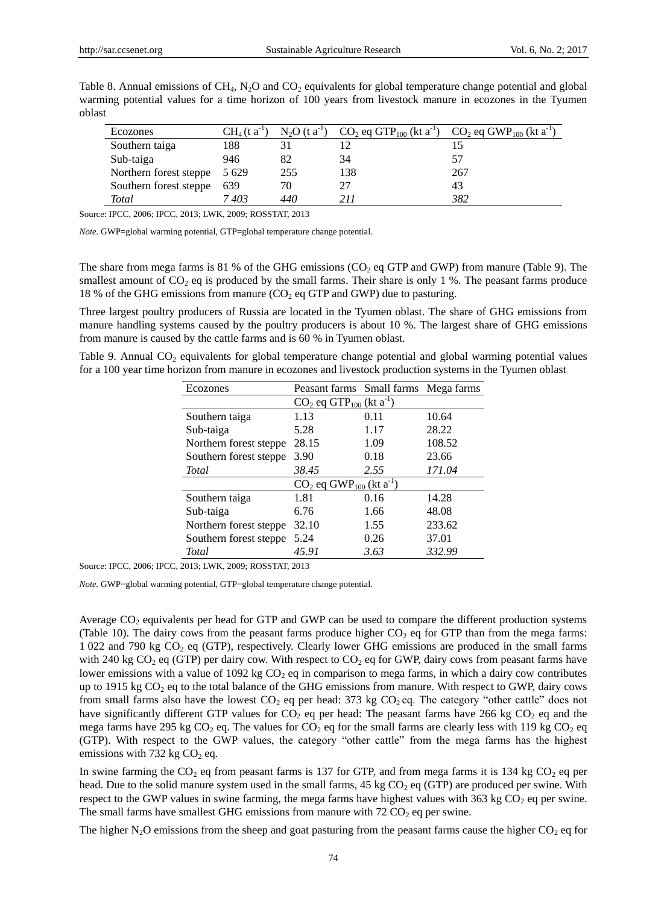| Ecozones               | $CH4(t a-1)$ | $N_2O(t a^{-1})$ | $CO_2$ eq GTP <sub>100</sub> (kt a <sup>-1</sup> ) $CO_2$ eq GWP <sub>100</sub> (kt a <sup>-1</sup> ) |     |
|------------------------|--------------|------------------|-------------------------------------------------------------------------------------------------------|-----|
| Southern taiga         | 188          |                  |                                                                                                       |     |
| Sub-taiga              | 946          | 82               | 34                                                                                                    | 57  |
| Northern forest steppe | 5 6 29       | 255              | 138                                                                                                   | 267 |
| Southern forest steppe | 639          | 70               | 27                                                                                                    | 43  |

*Total 7 403 440 211 382*

Table 8. Annual emissions of CH<sub>4</sub>, N<sub>2</sub>O and CO<sub>2</sub> equivalents for global temperature change potential and global warming potential values for a time horizon of 100 years from livestock manure in ecozones in the Tyumen o

Source: IPCC, 2006; IPCC, 2013; LWK, 2009; ROSSTAT, 2013

*Note.* GWP=global warming potential, GTP=global temperature change potential.

The share from mega farms is 81 % of the GHG emissions ( $CO<sub>2</sub>$  eq GTP and GWP) from manure (Table 9). The smallest amount of  $CO<sub>2</sub>$  eq is produced by the small farms. Their share is only 1 %. The peasant farms produce 18 % of the GHG emissions from manure  $(CO<sub>2</sub>$  eq GTP and GWP) due to pasturing.

Three largest poultry producers of Russia are located in the Tyumen oblast. The share of GHG emissions from manure handling systems caused by the poultry producers is about 10 %. The largest share of GHG emissions from manure is caused by the cattle farms and is 60 % in Tyumen oblast.

Table 9. Annual  $CO<sub>2</sub>$  equivalents for global temperature change potential and global warming potential values for a 100 year time horizon from manure in ecozones and livestock production systems in the Tyumen oblast

| Ecozones                                           | Peasant farms Small farms Mega farms               |      |        |  |  |
|----------------------------------------------------|----------------------------------------------------|------|--------|--|--|
| $CO_2$ eq GTP <sub>100</sub> (kt a <sup>-1</sup> ) |                                                    |      |        |  |  |
| Southern taiga                                     | 1.13                                               | 0.11 | 10.64  |  |  |
| Sub-taiga                                          | 5.28                                               | 1.17 | 28.22  |  |  |
| Northern forest steppe                             | 28.15                                              | 1.09 | 108.52 |  |  |
| Southern forest steppe                             | 3.90                                               | 0.18 | 23.66  |  |  |
| Total                                              | 38.45                                              | 2.55 | 171.04 |  |  |
|                                                    | $CO_2$ eq GWP <sub>100</sub> (kt a <sup>-1</sup> ) |      |        |  |  |
| Southern taiga                                     | 1.81                                               | 0.16 | 14.28  |  |  |
| Sub-taiga                                          | 6.76                                               | 1.66 | 48.08  |  |  |
| Northern forest steppe                             | 32.10                                              | 1.55 | 233.62 |  |  |
| Southern forest steppe                             | 5.24                                               | 0.26 | 37.01  |  |  |
| <b>Total</b>                                       | 45.91                                              | 3.63 | 332.99 |  |  |

Source: IPCC, 2006; IPCC, 2013; LWK, 2009; ROSSTAT, 2013

*Note.* GWP=global warming potential, GTP=global temperature change potential.

Average  $CO<sub>2</sub>$  equivalents per head for GTP and GWP can be used to compare the different production systems (Table 10). The dairy cows from the peasant farms produce higher  $CO<sub>2</sub>$  eq for GTP than from the mega farms: 1 022 and 790 kg CO<sup>2</sup> eq (GTP), respectively. Clearly lower GHG emissions are produced in the small farms with 240 kg  $CO<sub>2</sub>$  eq (GTP) per dairy cow. With respect to  $CO<sub>2</sub>$  eq for GWP, dairy cows from peasant farms have lower emissions with a value of 1092 kg  $CO<sub>2</sub>$  eq in comparison to mega farms, in which a dairy cow contributes up to 1915 kg  $CO<sub>2</sub>$  eq to the total balance of the GHG emissions from manure. With respect to GWP, dairy cows from small farms also have the lowest  $CO_2$  eq per head: 373 kg  $CO_2$  eq. The category "other cattle" does not have significantly different GTP values for  $CO_2$  eq per head: The peasant farms have 266 kg  $CO_2$  eq and the mega farms have 295 kg  $CO_2$  eq. The values for  $CO_2$  eq for the small farms are clearly less with 119 kg  $CO_2$  eq (GTP). With respect to the GWP values, the category "other cattle" from the mega farms has the highest emissions with 732 kg  $CO<sub>2</sub>$  eq.

In swine farming the  $CO<sub>2</sub>$  eq from peasant farms is 137 for GTP, and from mega farms it is 134 kg  $CO<sub>2</sub>$  eq per head. Due to the solid manure system used in the small farms,  $45 \text{ kg CO}_2$  eq (GTP) are produced per swine. With respect to the GWP values in swine farming, the mega farms have highest values with  $363 \text{ kg CO}_2$  eq per swine. The small farms have smallest GHG emissions from manure with 72  $CO<sub>2</sub>$  eq per swine.

The higher  $N_2O$  emissions from the sheep and goat pasturing from the peasant farms cause the higher  $CO_2$  eq for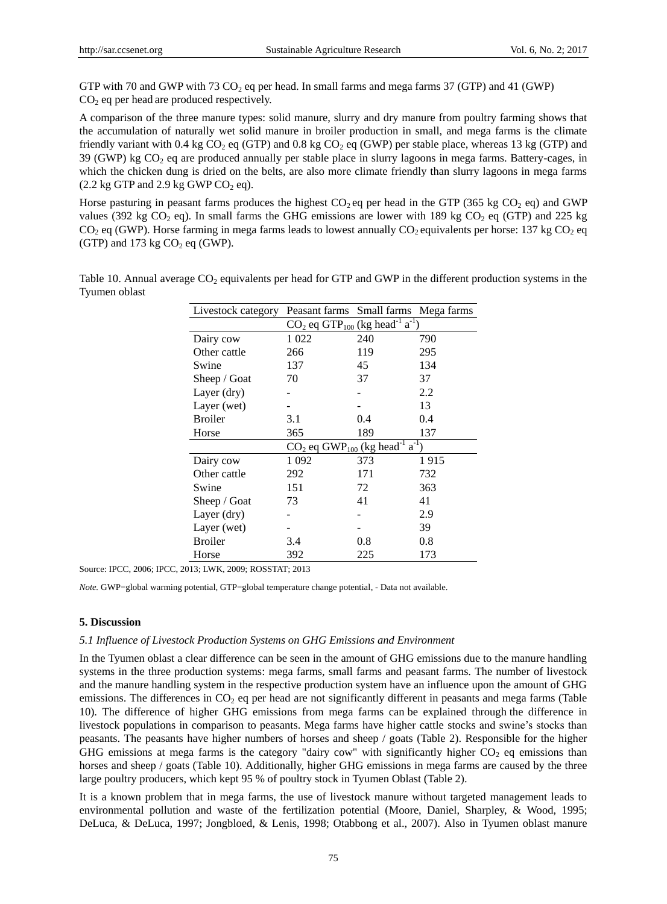GTP with 70 and GWP with 73 CO<sub>2</sub> eq per head. In small farms and mega farms 37 (GTP) and 41 (GWP)  $CO<sub>2</sub>$  eq per head are produced respectively.

A comparison of the three manure types: solid manure, slurry and dry manure from poultry farming shows that the accumulation of naturally wet solid manure in broiler production in small, and mega farms is the climate friendly variant with 0.4 kg  $CO_2$  eq (GTP) and 0.8 kg  $CO_2$  eq (GWP) per stable place, whereas 13 kg (GTP) and 39 (GWP) kg  $CO<sub>2</sub>$  eq are produced annually per stable place in slurry lagoons in mega farms. Battery-cages, in which the chicken dung is dried on the belts, are also more climate friendly than slurry lagoons in mega farms  $(2.2 \text{ kg GTP}$  and  $2.9 \text{ kg GWP}$  CO<sub>2</sub> eq).

Horse pasturing in peasant farms produces the highest  $CO_2$  eq per head in the GTP (365 kg  $CO_2$  eq) and GWP values (392 kg  $CO_2$  eq). In small farms the GHG emissions are lower with 189 kg  $CO_2$  eq (GTP) and 225 kg  $CO<sub>2</sub>$  eq (GWP). Horse farming in mega farms leads to lowest annually  $CO<sub>2</sub>$  equivalents per horse: 137 kg  $CO<sub>2</sub>$  eq (GTP) and 173 kg  $CO<sub>2</sub>$  eq (GWP).

Table 10. Annual average  $CO<sub>2</sub>$  equivalents per head for GTP and GWP in the different production systems in the Tyumen oblast

| Livestock category | Peasant farms Small farms                                             |     | Mega farms |
|--------------------|-----------------------------------------------------------------------|-----|------------|
|                    | $CO_2$ eq GTP <sub>100</sub> (kg head <sup>-1</sup> a <sup>-1</sup> ) |     |            |
| Dairy cow          | 1 0 2 2                                                               | 240 | 790        |
| Other cattle       | 266                                                                   | 119 | 295        |
| Swine              | 137                                                                   | 45  | 134        |
| Sheep / $Goat$     | 70                                                                    | 37  | 37         |
| Layer (dry)        |                                                                       |     | 2.2        |
| Layer (wet)        |                                                                       |     | 13         |
| <b>Broiler</b>     | 3.1                                                                   | 0.4 | 0.4        |
| Horse              | 365                                                                   | 189 | 137        |
|                    | $CO_2$ eq GWP <sub>100</sub> (kg head <sup>-1</sup> a <sup>-1</sup> ) |     |            |
| Dairy cow          | 1 0 9 2                                                               | 373 | 1915       |
| Other cattle       | 292                                                                   | 171 | 732        |
| Swine              | 151                                                                   | 72  | 363        |
| Sheep / Goat       | 73                                                                    | 41  | 41         |
| Layer (dry)        |                                                                       |     | 2.9        |
| Layer (wet)        |                                                                       |     | 39         |
| <b>Broiler</b>     | 3.4                                                                   | 0.8 | 0.8        |
| Horse              | 392                                                                   | 225 | 173        |

Source: IPCC, 2006; IPCC, 2013; LWK, 2009; ROSSTAT; 2013

*Note.* GWP=global warming potential, GTP=global temperature change potential, - Data not available.

#### **5. Discussion**

#### *5.1 Influence of Livestock Production Systems on GHG Emissions and Environment*

In the Tyumen oblast a clear difference can be seen in the amount of GHG emissions due to the manure handling systems in the three production systems: mega farms, small farms and peasant farms. The number of livestock and the manure handling system in the respective production system have an influence upon the amount of GHG emissions. The differences in  $CO<sub>2</sub>$  eq per head are not significantly different in peasants and mega farms (Table 10). The difference of higher GHG emissions from mega farms can be explained through the difference in livestock populations in comparison to peasants. Mega farms have higher cattle stocks and swine"s stocks than peasants. The peasants have higher numbers of horses and sheep / goats (Table 2). Responsible for the higher GHG emissions at mega farms is the category "dairy cow" with significantly higher  $CO<sub>2</sub>$  eq emissions than horses and sheep / goats (Table 10). Additionally, higher GHG emissions in mega farms are caused by the three large poultry producers, which kept 95 % of poultry stock in Tyumen Oblast (Table 2).

It is a known problem that in mega farms, the use of livestock manure without targeted management leads to environmental pollution and waste of the fertilization potential (Moore, Daniel, Sharpley, & Wood, 1995; DeLuca, & DeLuca, 1997; Jongbloed, & Lenis, 1998; Otabbong et al., 2007). Also in Tyumen oblast manure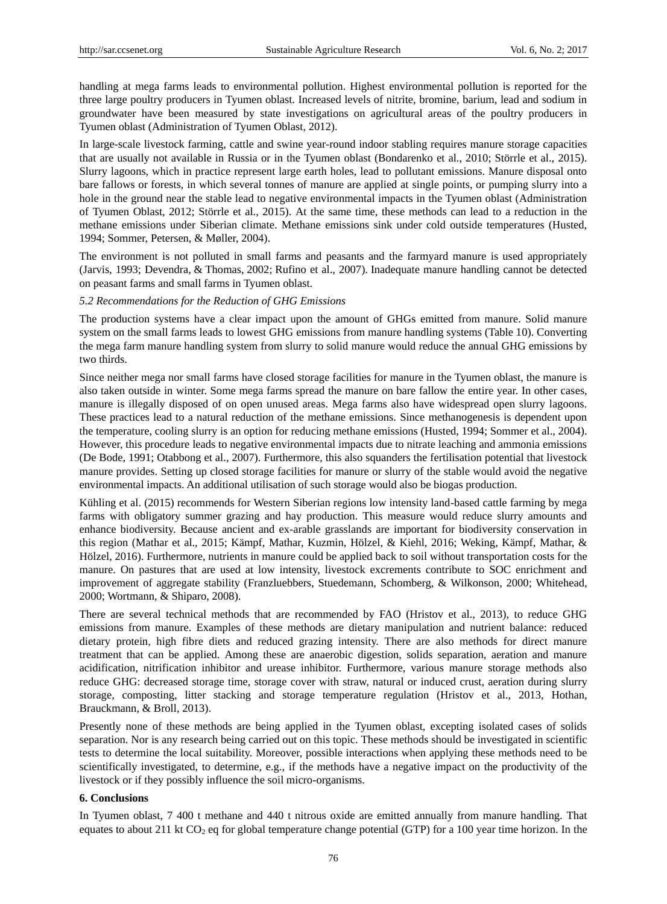handling at mega farms leads to environmental pollution. Highest environmental pollution is reported for the three large poultry producers in Tyumen oblast. Increased levels of nitrite, bromine, barium, lead and sodium in groundwater have been measured by state investigations on agricultural areas of the poultry producers in Tyumen oblast (Administration of Tyumen Oblast, 2012).

In large-scale livestock farming, cattle and swine year-round indoor stabling requires manure storage capacities that are usually not available in Russia or in the Tyumen oblast (Bondarenko et al., 2010; Störrle et al., 2015). Slurry lagoons, which in practice represent large earth holes, lead to pollutant emissions. Manure disposal onto bare fallows or forests, in which several tonnes of manure are applied at single points, or pumping slurry into a hole in the ground near the stable lead to negative environmental impacts in the Tyumen oblast (Administration of Tyumen Oblast, 2012; Störrle et al., 2015). At the same time, these methods can lead to a reduction in the methane emissions under Siberian climate. Methane emissions sink under cold outside temperatures (Husted, 1994; Sommer, Petersen, & Møller, 2004).

The environment is not polluted in small farms and peasants and the farmyard manure is used appropriately (Jarvis, 1993; Devendra, & Thomas, 2002; Rufino et al., 2007). Inadequate manure handling cannot be detected on peasant farms and small farms in Tyumen oblast.

## *5.2 Recommendations for the Reduction of GHG Emissions*

The production systems have a clear impact upon the amount of GHGs emitted from manure. Solid manure system on the small farms leads to lowest GHG emissions from manure handling systems (Table 10). Converting the mega farm manure handling system from slurry to solid manure would reduce the annual GHG emissions by two thirds.

Since neither mega nor small farms have closed storage facilities for manure in the Tyumen oblast, the manure is also taken outside in winter. Some mega farms spread the manure on bare fallow the entire year. In other cases, manure is illegally disposed of on open unused areas. Mega farms also have widespread open slurry lagoons. These practices lead to a natural reduction of the methane emissions. Since methanogenesis is dependent upon the temperature, cooling slurry is an option for reducing methane emissions (Husted, 1994; Sommer et al., 2004). However, this procedure leads to negative environmental impacts due to nitrate leaching and ammonia emissions (De Bode, 1991; Otabbong et al., 2007). Furthermore, this also squanders the fertilisation potential that livestock manure provides. Setting up closed storage facilities for manure or slurry of the stable would avoid the negative environmental impacts. An additional utilisation of such storage would also be biogas production.

Kühling et al. (2015) recommends for Western Siberian regions low intensity land-based cattle farming by mega farms with obligatory summer grazing and hay production. This measure would reduce slurry amounts and enhance biodiversity. Because ancient and ex-arable grasslands are important for biodiversity conservation in this region (Mathar et al., 2015; Kämpf, Mathar, Kuzmin, Hölzel, & Kiehl, 2016; Weking, Kämpf, Mathar, & Hölzel, 2016). Furthermore, nutrients in manure could be applied back to soil without transportation costs for the manure. On pastures that are used at low intensity, livestock excrements contribute to SOC enrichment and improvement of aggregate stability (Franzluebbers, Stuedemann, Schomberg, & Wilkonson, 2000; Whitehead, 2000; Wortmann, & Shiparo, 2008).

There are several technical methods that are recommended by FAO (Hristov et al., 2013), to reduce GHG emissions from manure. Examples of these methods are dietary manipulation and nutrient balance: reduced dietary protein, high fibre diets and reduced grazing intensity. There are also methods for direct manure treatment that can be applied. Among these are anaerobic digestion, solids separation, aeration and manure acidification, nitrification inhibitor and urease inhibitor. Furthermore, various manure storage methods also reduce GHG: decreased storage time, storage cover with straw, natural or induced crust, aeration during slurry storage, composting, litter stacking and storage temperature regulation (Hristov et al., 2013, Hothan, Brauckmann, & Broll, 2013).

Presently none of these methods are being applied in the Tyumen oblast, excepting isolated cases of solids separation. Nor is any research being carried out on this topic. These methods should be investigated in scientific tests to determine the local suitability. Moreover, possible interactions when applying these methods need to be scientifically investigated, to determine, e.g., if the methods have a negative impact on the productivity of the livestock or if they possibly influence the soil micro-organisms.

#### **6. Conclusions**

In Tyumen oblast, 7 400 t methane and 440 t nitrous oxide are emitted annually from manure handling. That equates to about 211 kt  $CO<sub>2</sub>$  eq for global temperature change potential (GTP) for a 100 year time horizon. In the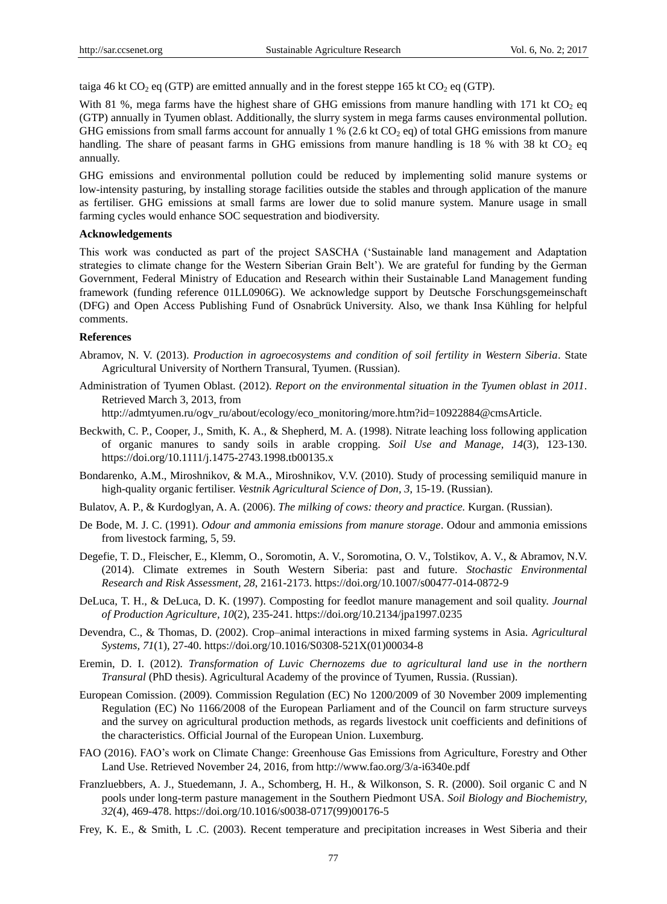taiga 46 kt CO<sub>2</sub> eq (GTP) are emitted annually and in the forest steppe 165 kt CO<sub>2</sub> eq (GTP).

With 81 %, mega farms have the highest share of GHG emissions from manure handling with 171 kt  $CO<sub>2</sub>$  eq (GTP) annually in Tyumen oblast. Additionally, the slurry system in mega farms causes environmental pollution. GHG emissions from small farms account for annually 1 % (2.6 kt  $CO<sub>2</sub>$  eq) of total GHG emissions from manure handling. The share of peasant farms in GHG emissions from manure handling is 18 % with 38 kt  $CO<sub>2</sub>$  eq annually.

GHG emissions and environmental pollution could be reduced by implementing solid manure systems or low-intensity pasturing, by installing storage facilities outside the stables and through application of the manure as fertiliser. GHG emissions at small farms are lower due to solid manure system. Manure usage in small farming cycles would enhance SOC sequestration and biodiversity.

### **Acknowledgements**

This work was conducted as part of the project SASCHA ("Sustainable land management and Adaptation strategies to climate change for the Western Siberian Grain Belt"). We are grateful for funding by the German Government, Federal Ministry of Education and Research within their Sustainable Land Management funding framework (funding reference 01LL0906G). We acknowledge support by Deutsche Forschungsgemeinschaft (DFG) and Open Access Publishing Fund of Osnabrück University. Also, we thank Insa Kühling for helpful comments.

#### **References**

- Abramov, N. V. (2013). *Production in agroecosystems and condition of soil fertility in Western Siberia*. State Agricultural University of Northern Transural, Tyumen. (Russian).
- Administration of Tyumen Oblast. (2012). *Report on the environmental situation in the Tyumen oblast in 2011*. Retrieved March 3, 2013, from

http://admtyumen.ru/ogv\_ru/about/ecology/eco\_monitoring/more.htm?id=10922884@cmsArticle.

- Beckwith, C. P., Cooper, J., Smith, K. A., & Shepherd, M. A. (1998). Nitrate leaching loss following application of organic manures to sandy soils in arable cropping. *Soil Use and Manage, 14*(3), 123-130. https://doi.org/10.1111/j.1475-2743.1998.tb00135.x
- Bondarenko, A.M., Miroshnikov, & M.A., Miroshnikov, V.V. (2010). Study of processing semiliquid manure in high-quality organic fertiliser. *Vestnik Agricultural Science of Don, 3*, 15-19. (Russian).
- Bulatov, A. P., & Kurdoglyan, A. A. (2006). *The milking of cows: theory and practice.* Kurgan. (Russian).
- De Bode, M. J. C. (1991). *Odour and ammonia emissions from manure storage*. Odour and ammonia emissions from livestock farming, 5, 59.
- Degefie, T. D., Fleischer, E., Klemm, O., Soromotin, A. V., Soromotina, O. V., Tolstikov, A. V., & Abramov, N.V. (2014). Climate extremes in South Western Siberia: past and future. *Stochastic Environmental Research and Risk Assessment, 28*, 2161-2173. https://doi.org/10.1007/s00477-014-0872-9
- DeLuca, T. H., & DeLuca, D. K. (1997). Composting for feedlot manure management and soil quality. *Journal of Production Agriculture, 10*(2), 235-241. https://doi.org/10.2134/jpa1997.0235
- Devendra, C., & Thomas, D. (2002). Crop–animal interactions in mixed farming systems in Asia. *Agricultural Systems, 71*(1), 27-40. https://doi.org/10.1016/S0308-521X(01)00034-8
- Eremin, D. I. (2012). *Transformation of Luvic Chernozems due to agricultural land use in the northern Transural* (PhD thesis). Agricultural Academy of the province of Tyumen, Russia. (Russian).
- European Comission. (2009). Commission Regulation (EC) No 1200/2009 of 30 November 2009 implementing Regulation (EC) No 1166/2008 of the European Parliament and of the Council on farm structure surveys and the survey on agricultural production methods, as regards livestock unit coefficients and definitions of the characteristics. Official Journal of the European Union. Luxemburg.
- FAO (2016). FAO"s work on Climate Change: Greenhouse Gas Emissions from Agriculture, Forestry and Other Land Use. Retrieved November 24, 2016, from http://www.fao.org/3/a-i6340e.pdf
- Franzluebbers, A. J., Stuedemann, J. A., Schomberg, H. H., & Wilkonson, S. R. (2000). Soil organic C and N pools under long-term pasture management in the Southern Piedmont USA. *Soil Biology and Biochemistry, 32*(4), 469-478. https://doi.org/10.1016/s0038-0717(99)00176-5
- Frey, K. E., & Smith, L .C. (2003). Recent temperature and precipitation increases in West Siberia and their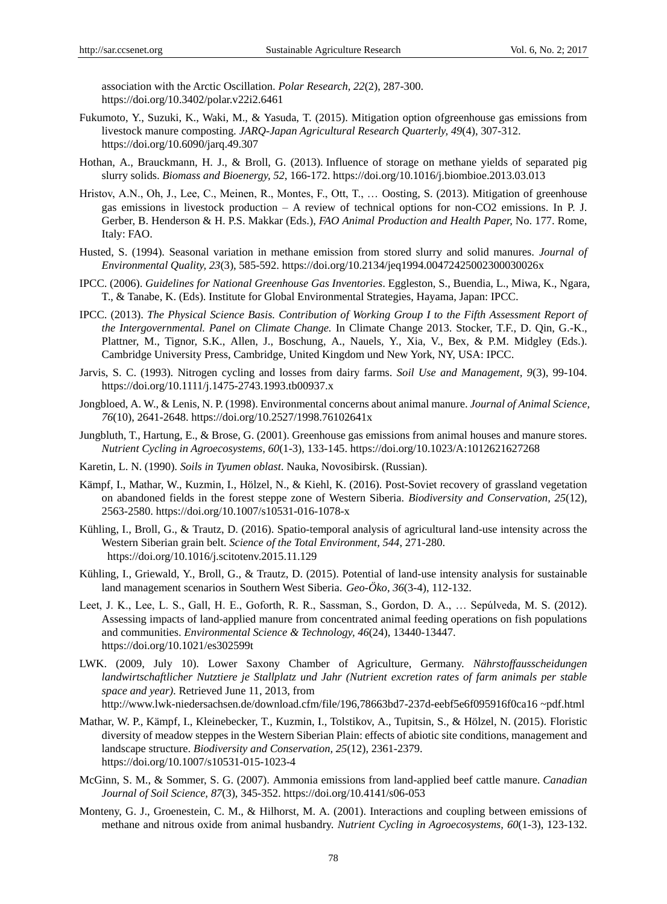association with the Arctic Oscillation. *Polar Research, 22*(2), 287-300. https://doi.org/10.3402/polar.v22i2.6461

- Fukumoto, Y., Suzuki, K., Waki, M., & Yasuda, T. (2015). Mitigation option ofgreenhouse gas emissions from livestock manure composting*. JARQ-Japan Agricultural Research Quarterly, 49*(4), 307-312. https://doi.org/10.6090/jarq.49.307
- Hothan, A., Brauckmann, H. J., & Broll, G. (2013). Influence of storage on methane yields of separated pig slurry solids. *Biomass and Bioenergy, 52*, 166-172. https://doi.org/10.1016/j.biombioe.2013.03.013
- Hristov, A.N., Oh, J., Lee, C., Meinen, R., Montes, F., Ott, T., … Oosting, S. (2013). Mitigation of greenhouse gas emissions in livestock production – A review of technical options for non-CO2 emissions. In P. J. Gerber, B. Henderson & H. P.S. Makkar (Eds.), *FAO Animal Production and Health Paper,* No. 177. Rome, Italy: FAO.
- Husted, S. (1994). Seasonal variation in methane emission from stored slurry and solid manures. *Journal of Environmental Quality, 23*(3), 585-592. https://doi.org/10.2134/jeq1994.00472425002300030026x
- IPCC. (2006). *Guidelines for National Greenhouse Gas Inventories*. Eggleston, S., Buendia, L., Miwa, K., Ngara, T., & Tanabe, K. (Eds). Institute for Global Environmental Strategies, Hayama, Japan: IPCC.
- IPCC. (2013). *The Physical Science Basis. Contribution of Working Group I to the Fifth Assessment Report of the Intergovernmental. Panel on Climate Change.* In Climate Change 2013. Stocker, T.F., D. Qin, G.-K., Plattner, M., Tignor, S.K., Allen, J., Boschung, A., Nauels, Y., Xia, V., Bex, & P.M. Midgley (Eds.). Cambridge University Press, Cambridge, United Kingdom und New York, NY, USA: IPCC.
- Jarvis, S. C. (1993). Nitrogen cycling and losses from dairy farms. *Soil Use and Management, 9*(3), 99-104. https://doi.org/10.1111/j.1475-2743.1993.tb00937.x
- Jongbloed, A. W., & Lenis, N. P. (1998). Environmental concerns about animal manure. *Journal of Animal Science, 76*(10), 2641-2648. https://doi.org/10.2527/1998.76102641x
- Jungbluth, T., Hartung, E., & Brose, G. (2001). Greenhouse gas emissions from animal houses and manure stores. *Nutrient Cycling in Agroecosystems, 60*(1-3), 133-145. https://doi.org/10.1023/A:1012621627268
- Karetin, L. N. (1990). *Soils in Tyumen oblast*. Nauka, Novosibirsk. (Russian).
- Kämpf, I., Mathar, W., Kuzmin, I., Hölzel, N., & Kiehl, K. (2016). Post-Soviet recovery of grassland vegetation on abandoned fields in the forest steppe zone of Western Siberia. *Biodiversity and Conservation, 25*(12), 2563-2580. https://doi.org/10.1007/s10531-016-1078-x
- Kühling, I., Broll, G., & Trautz, D. (2016). Spatio-temporal analysis of agricultural land-use intensity across the Western Siberian grain belt. *Science of the Total Environment, 544*, 271-280. https://doi.org/10.1016/j.scitotenv.2015.11.129
- Kühling, I., Griewald, Y., Broll, G., & Trautz, D. (2015). Potential of land-use intensity analysis for sustainable land management scenarios in Southern West Siberia. *Geo-Öko, 36*(3-4), 112-132.
- Leet, J. K., Lee, L. S., Gall, H. E., Goforth, R. R., Sassman, S., Gordon, D. A., … Sepúlveda, M. S. (2012). Assessing impacts of land-applied manure from concentrated animal feeding operations on fish populations and communities. *Environmental Science & Technology, 46*(24), 13440-13447. https://doi.org/10.1021/es302599t
- LWK. (2009, July 10). Lower Saxony Chamber of Agriculture, Germany. *Nährstoffausscheidungen landwirtschaftlicher Nutztiere je Stallplatz und Jahr (Nutrient excretion rates of farm animals per stable space and year)*. Retrieved June 11, 2013, from http://www.lwk-niedersachsen.de/download.cfm/file/196,78663bd7-237d-eebf5e6f095916f0ca16 ~pdf.html
- Mathar, W. P., Kämpf, I., Kleinebecker, T., Kuzmin, I., Tolstikov, A., Tupitsin, S., & Hölzel, N. (2015). Floristic diversity of meadow steppes in the Western Siberian Plain: effects of abiotic site conditions, management and landscape structure. *Biodiversity and Conservation, 25*(12), 2361-2379. https://doi.org/10.1007/s10531-015-1023-4
- McGinn, S. M., & Sommer, S. G. (2007). Ammonia emissions from land-applied beef cattle manure. *Canadian Journal of Soil Science, 87*(3), 345-352. https://doi.org/10.4141/s06-053
- Monteny, G. J., Groenestein, C. M., & Hilhorst, M. A. (2001). Interactions and coupling between emissions of methane and nitrous oxide from animal husbandry. *Nutrient Cycling in Agroecosystems, 60*(1-3), 123-132.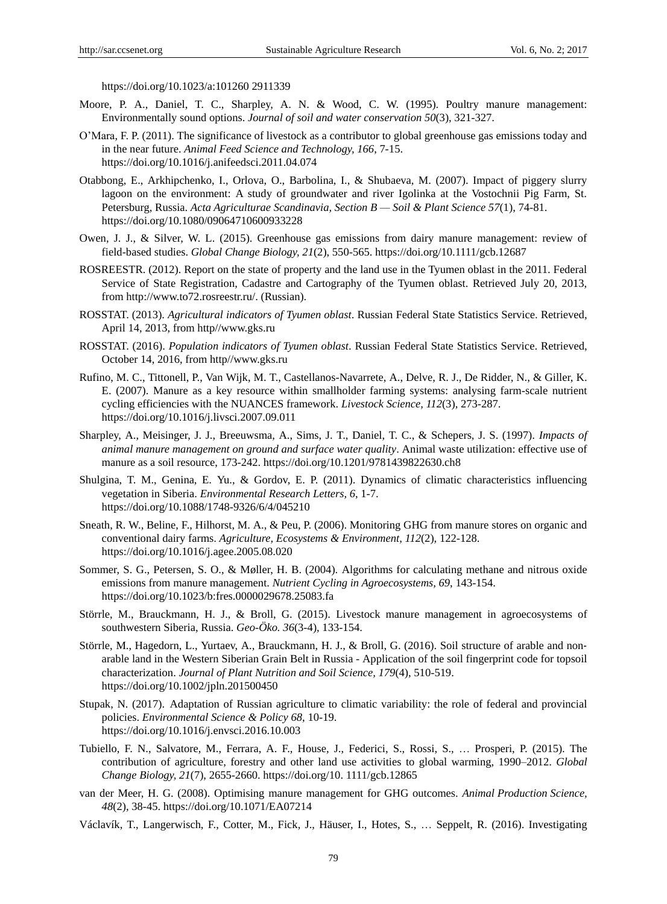https://doi.org/10.1023/a:101260 2911339

- Moore, P. A., Daniel, T. C., Sharpley, A. N. & Wood, C. W. (1995). Poultry manure management: Environmentally sound options. *Journal of soil and water conservation 50*(3), 321-327.
- O"Mara, F. P. (2011). The significance of livestock as a contributor to global greenhouse gas emissions today and in the near future. *Animal Feed Science and Technology, 166*, 7-15. https://doi.org/10.1016/j.anifeedsci.2011.04.074
- Otabbong, E., Arkhipchenko, I., Orlova, O., Barbolina, I., & Shubaeva, M. (2007). Impact of piggery slurry lagoon on the environment: A study of groundwater and river Igolinka at the Vostochnii Pig Farm, St. Petersburg, Russia. *Acta Agriculturae Scandinavia, Section B — Soil & Plant Science 57*(1), 74-81. https://doi.org/10.1080/09064710600933228
- Owen, J. J., & Silver, W. L. (2015). Greenhouse gas emissions from dairy manure management: review of field-based studies. *Global Change Biology, 21*(2), 550-565. https://doi.org/10.1111/gcb.12687
- ROSREESTR. (2012). Report on the state of property and the land use in the Tyumen oblast in the 2011. Federal Service of State Registration, Cadastre and Cartography of the Tyumen oblast. Retrieved July 20, 2013, from http://www.to72.rosreestr.ru/. (Russian).
- ROSSTAT. (2013). *Agricultural indicators of Tyumen oblast*. Russian Federal State Statistics Service. Retrieved, April 14, 2013, from http//www.gks.ru
- ROSSTAT. (2016). *Population indicators of Tyumen oblast*. Russian Federal State Statistics Service. Retrieved, October 14, 2016, from http//www.gks.ru
- Rufino, M. C., Tittonell, P., Van Wijk, M. T., Castellanos-Navarrete, A., Delve, R. J., De Ridder, N., & Giller, K. E. (2007). Manure as a key resource within smallholder farming systems: analysing farm-scale nutrient cycling efficiencies with the NUANCES framework. *Livestock Science, 112*(3), 273-287. https://doi.org/10.1016/j.livsci.2007.09.011
- Sharpley, A., Meisinger, J. J., Breeuwsma, A., Sims, J. T., Daniel, T. C., & Schepers, J. S. (1997). *Impacts of animal manure management on ground and surface water quality*. Animal waste utilization: effective use of manure as a soil resource, 173-242. https://doi.org/10.1201/9781439822630.ch8
- Shulgina, T. M., Genina, E. Yu., & Gordov, E. P. (2011). Dynamics of climatic characteristics influencing vegetation in Siberia. *Environmental Research Letters, 6*, 1-7. https://doi.org/10.1088/1748-9326/6/4/045210
- Sneath, R. W., Beline, F., Hilhorst, M. A., & Peu, P. (2006). Monitoring GHG from manure stores on organic and conventional dairy farms. *Agriculture, Ecosystems & Environment, 112*(2), 122-128. https://doi.org/10.1016/j.agee.2005.08.020
- Sommer, S. G., Petersen, S. O., & Møller, H. B. (2004). Algorithms for calculating methane and nitrous oxide emissions from manure management. *Nutrient Cycling in Agroecosystems, 69*, 143-154. https://doi.org/10.1023/b:fres.0000029678.25083.fa
- Störrle, M., Brauckmann, H. J., & Broll, G. (2015). Livestock manure management in agroecosystems of southwestern Siberia, Russia. *Geo-Öko. 36*(3-4), 133-154.
- Störrle, M., Hagedorn, L., Yurtaev, A., Brauckmann, H. J., & Broll, G. (2016). Soil structure of arable and non‐ arable land in the Western Siberian Grain Belt in Russia - Application of the soil fingerprint code for topsoil characterization. *Journal of Plant Nutrition and Soil Science, 179*(4), 510-519. https://doi.org/10.1002/jpln.201500450
- Stupak, N. (2017). Adaptation of Russian agriculture to climatic variability: the role of federal and provincial policies. *Environmental Science & Policy 68*, 10-19. https://doi.org/10.1016/j.envsci.2016.10.003
- Tubiello, F. N., Salvatore, M., Ferrara, A. F., House, J., Federici, S., Rossi, S., … Prosperi, P. (2015). The contribution of agriculture, forestry and other land use activities to global warming, 1990–2012. *Global Change Biology, 21*(7), 2655-2660. https://doi.org/10. 1111/gcb.12865
- van der Meer, H. G. (2008). Optimising manure management for GHG outcomes. *Animal Production Science, 48*(2), 38-45. https://doi.org/10.1071/EA07214
- Václavík, T., Langerwisch, F., Cotter, M., Fick, J., Häuser, I., Hotes, S., … Seppelt, R. (2016). Investigating